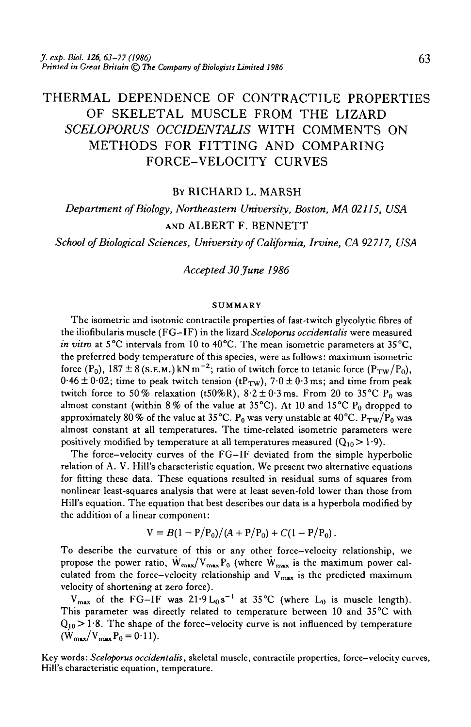# THERMAL DEPENDENCE OF CONTRACTILE PROPERTIES OF SKELETAL MUSCLE FROM THE LIZARD *SCELOPORUS OCCIDENTALIS* WITH COMMENTS ON METHODS FOR FITTING AND COMPARING FORCE-VELOCITY CURVES

## BY RICHARD L. MARSH

*Department of Biology, Northeastern University, Boston, MA 02115, USA* AND ALBERT F. BENNETT

*School of Biological Sciences, University of California, Irvine, CA 92717, USA*

*Accepted 30 June 1986*

#### SUMMARY

The isometric and isotonic contractile properties of fast-twitch glycolytic fibres of the iliofibularis muscle (FG-IF) in the lizard *Sceloporus occidentalis* were measured *in vitro* at 5°C intervals from 10 to 40°C. The mean isometric parameters at 35°C, the preferred body temperature of this species, were as follows: maximum isometric force (P<sub>0</sub>), 187  $\pm$  8 (S.E.M.) kN m<sup>-2</sup>; ratio of twitch force to tetanic force (P<sub>TW</sub>/P<sub>0</sub>),  $0.46 \pm 0.02$ ; time to peak twitch tension (tP<sub>TW</sub>),  $7.0 \pm 0.3$  ms; and time from peak twitch force to 50% relaxation (t50%R),  $8.2 \pm 0.3$  ms. From 20 to 35°C P<sub>0</sub> was almost constant (within 8% of the value at 35°C). At 10 and 15°C P<sub>0</sub> dropped to approximately 80 % of the value at 35 °C. P<sub>0</sub> was very unstable at 40 °C. P<sub>TW</sub>/P<sub>0</sub> was almost constant at all temperatures. The time-related isometric parameters were positively modified by temperature at all temperatures measured  $(Q_{10} > 1.9)$ .

The force-velocity curves of the FG-IF deviated from the simple hyperbolic relation of A. V. Hill's characteristic equation. We present two alternative equations for fitting these data. These equations resulted in residual sums of squares from nonlinear least-squares analysis that were at least seven-fold lower than those from Hill's equation. The equation that best describes our data is a hyperbola modified by the addition of a linear component:

$$
V = B(1 - P/P_0)/(A + P/P_0) + C(1 - P/P_0).
$$

To describe the curvature of this or any other force-velocity relationship, we propose the power ratio,  $\dot{W}_{\text{max}}/V_{\text{max}}P_0$  (where  $\dot{W}_{\text{max}}$  is the maximum power calculated from the force-velocity relationship and  $V_{\text{max}}$  is the predicted maximum velocity of shortening at zero force).

 $V_{\text{max}}$  of the FG-IF was  $21.9 L_0 s^{-1}$  at 35°C (where  $L_0$  is muscle length). This parameter was directly related to temperature between 10 and 35°C with  $Q_{10}$  > 1.8. The shape of the force-velocity curve is not influenced by temperature  $(\dot{W}_{\text{max}}/V_{\text{max}}P_0 = 0.11).$ 

Key words: *Sceloporus occidentalis,* skeletal muscle, contractile properties, force-velocity curves, Hill's characteristic equation, temperature.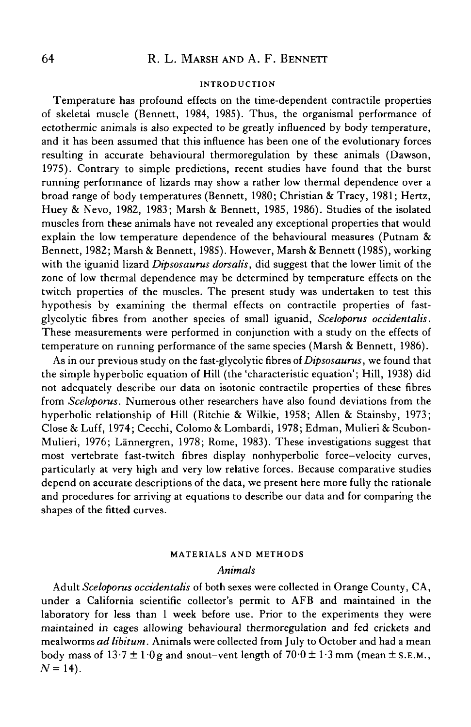#### **INTRODUCTION**

Temperature has profound effects on the time-dependent contractile properties of skeletal muscle (Bennett, 1984, 1985). Thus, the organismal performance of ectothermic animals is also expected to be greatly influenced by body temperature, and it has been assumed that this influence has been one of the evolutionary forces resulting in accurate behavioural thermoregulation by these animals (Dawson, 1975). Contrary to simple predictions, recent studies have found that the burst running performance of lizards may show a rather low thermal dependence over a broad range of body temperatures (Bennett, 1980; Christian & Tracy, 1981; Hertz, Huey & Nevo, 1982, 1983; Marsh & Bennett, 1985, 1986). Studies of the isolated muscles from these animals have not revealed any exceptional properties that would explain the low temperature dependence of the behavioural measures (Putnam & Bennett, 1982; Marsh & Bennett, 1985). However, Marsh & Bennett (1985), working with the iguanid lizard *Dipsosaurus dorsalis,* did suggest that the lower limit of the zone of low thermal dependence may be determined by temperature effects on the twitch properties of the muscles. The present study was undertaken to test this hypothesis by examining the thermal effects on contractile properties of fastglycolytic fibres from another species of small iguanid, *Sceloporus occidentals.* These measurements were performed in conjunction with a study on the effects of temperature on running performance of the same species (Marsh & Bennett, 1986).

As in our previous study on the fast-glycolytic fibres of *Dipsosaurus*, we found that the simple hyperbolic equation of Hill (the 'characteristic equation'; Hill, 1938) did not adequately describe our data on isotonic contractile properties of these fibres from *Sceloporus.* Numerous other researchers have also found deviations from the hyperbolic relationship of Hill (Ritchie & Wilkie, 1958; Allen & Stainsby, 1973; Close & Luff, 1974; Cecchi, Colomo & Lombardi, 1978; Edman, Mulieri & Scubon-Mulieri, 1976; Lannergren, 1978; Rome, 1983). These investigations suggest that most vertebrate fast-twitch fibres display nonhyperbolic force—velocity curves, particularly at very high and very low relative forces. Because comparative studies depend on accurate descriptions of the data, we present here more fully the rationale and procedures for arriving at equations to describe our data and for comparing the shapes of the fitted curves.

# **MATERIALS AND METHODS** *Animals*

Adult *Sceloporus occidentalis* of both sexes were collected in Orange County, CA, under a California scientific collector's permit to AFB and maintained in the laboratory for less than 1 week before use. Prior to the experiments they were maintained in cages allowing behavioural thermoregulation and fed crickets and mealworms *ad libitum.* Animals were collected from July to October and had a mean body mass of  $13.7 \pm 1.0$ g and snout-vent length of  $70.0 \pm 1.3$  mm (mean  $\pm$  s.e.m.,  $N = 14$ ).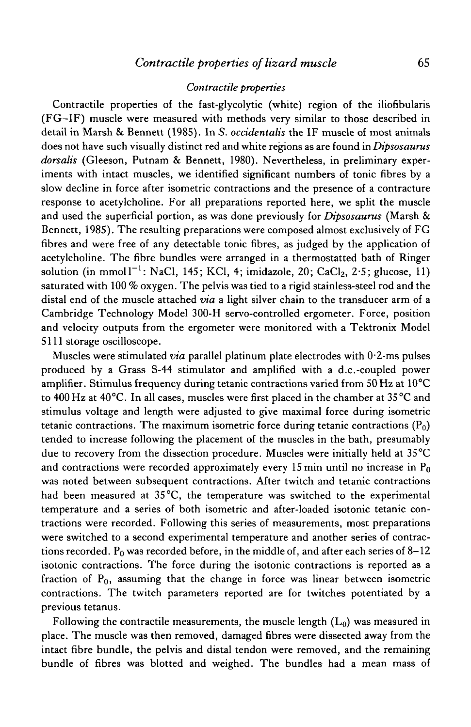## *Contractile properties*

Contractile properties of the fast-glycolytic (white) region of the iliofibularis (FG-IF) muscle were measured with methods very similar to those described in detail in Marsh & Bennett (1985). In 5. *occidentalis* the IF muscle of most animals does not have such visually distinct red and white regions as are found in *Dipsosaurus dorsalis* (Gleeson, Putnam & Bennett, 1980). Nevertheless, in preliminary experiments with intact muscles, we identified significant numbers of tonic fibres by a slow decline in force after isometric contractions and the presence of a contracture response to acetylcholine. For all preparations reported here, we split the muscle and used the superficial portion, as was done previously for *Dipsosaurus* (Marsh & Bennett, 1985). The resulting preparations were composed almost exclusively of FG fibres and were free of any detectable tonic fibres, as judged by the application of acetylcholine. The fibre bundles were arranged in a thermostatted bath of Ringer solution (in mmol  $1^{-1}$ : NaCl, 145; KCl, 4; imidazole, 20; CaCl<sub>2</sub>, 2.5; glucose, 11) saturated with  $100\%$  oxygen. The pelvis was tied to a rigid stainless-steel rod and the distal end of the muscle attached *via* a light silver chain to the transducer arm of a Cambridge Technology Model 300-H servo-controlled ergometer. Force, position and velocity outputs from the ergometer were monitored with a Tektronix Model 5111 storage oscilloscope.

Muscles were stimulated *via* parallel platinum plate electrodes with 0'2-ms pulses produced by a Grass S-44 stimulator and amplified with a d.c.-coupled power amplifier. Stimulus frequency during tetanic contractions varied from 50 Hz at 10°C to 400 Hz at 40°C. In all cases, muscles were first placed in the chamber at 35 °C and stimulus voltage and length were adjusted to give maximal force during isometric tetanic contractions. The maximum isometric force during tetanic contractions  $(P_0)$ tended to increase following the placement of the muscles in the bath, presumably due to recovery from the dissection procedure. Muscles were initially held at 35°C and contractions were recorded approximately every 15 min until no increase in  $P_0$ was noted between subsequent contractions. After twitch and tetanic contractions had been measured at 35°C, the temperature was switched to the experimental temperature and a series of both isometric and after-loaded isotonic tetanic contractions were recorded. Following this series of measurements, most preparations were switched to a second experimental temperature and another series of contractions recorded.  $P_0$  was recorded before, in the middle of, and after each series of 8–12 isotonic contractions. The force during the isotonic contractions is reported as a fraction of  $P_0$ , assuming that the change in force was linear between isometric contractions. The twitch parameters reported are for twitches potentiated by a previous tetanus.

Following the contractile measurements, the muscle length  $(L_0)$  was measured in place. The muscle was then removed, damaged fibres were dissected away from the intact fibre bundle, the pelvis and distal tendon were removed, and the remaining bundle of fibres was blotted and weighed. The bundles had a mean mass of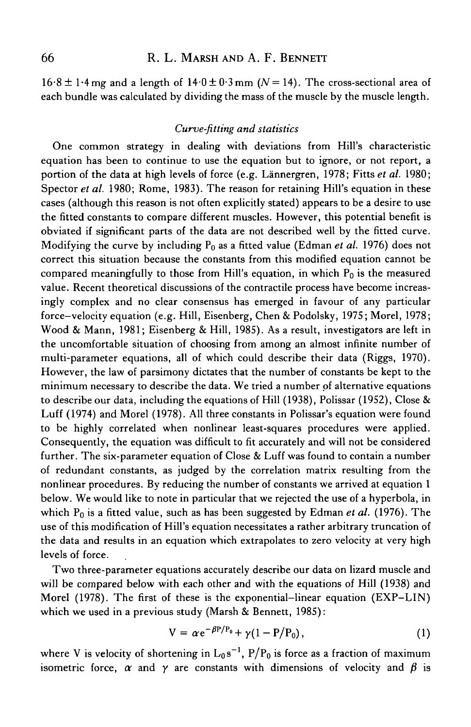$16.8 \pm 1.4$  mg and a length of  $14.0 \pm 0.3$  mm (N = 14). The cross-sectional area of each bundle was calculated by dividing the mass of the muscle by the muscle length.

#### *Curve-fitting and statistics*

One common strategy in dealing with deviations from Hill's characteristic equation has been to continue to use the equation but to ignore, or not report, a portion of the data at high levels of force (e.g. Lannergren, 1978; Fitts *et al.* 1980; Spector *et al.* 1980; Rome, 1983). The reason for retaining Hill's equation in these cases (although this reason is not often explicitly stated) appears to be a desire to use the fitted constants to compare different muscles. However, this potential benefit is obviated if significant parts of the data are not described well by the fitted curve. Modifying the curve by including  $P_0$  as a fitted value (Edman *et al.* 1976) does not correct this situation because the constants from this modified equation cannot be compared meaningfully to those from Hill's equation, in which  $P_0$  is the measured value. Recent theoretical discussions of the contractile process have become increasingly complex and no clear consensus has emerged in favour of any particular force-velocity equation (e.g. Hill, Eisenberg, Chen & Podolsky, 1975; Morel, 1978; Wood & Mann, 1981; Eisenberg & Hill, 1985). As a result, investigators are left in the uncomfortable situation of choosing from among an almost infinite number of multi-parameter equations, all of which could describe their data (Riggs, 1970). However, the law of parsimony dictates that the number of constants be kept to the minimum necessary to describe the data. We tried a number of alternative equations to describe our data, including the equations of Hill (1938), Polissar (1952), Close & Luff (1974) and Morel (1978). All three constants in Polissar's equation were found to be highly correlated when nonlinear least-squares procedures were applied. Consequently, the equation was difficult to fit accurately and will not be considered further. The six-parameter equation of Close & Luff was found to contain a number of redundant constants, as judged by the correlation matrix resulting from the nonlinear procedures. By reducing the number of constants we arrived at equation 1 below. We would like to note in particular that we rejected the use of a hyperbola, in which  $P_0$  is a fitted value, such as has been suggested by Edman et al. (1976). The use of this modification of Hill's equation necessitates a rather arbitrary truncation of the data and results in an equation which extrapolates to zero velocity at very high levels of force.

Two three-parameter equations accurately describe our data on lizard muscle and will be compared below with each other and with the equations of Hill (1938) and Morel (1978). The first of these is the exponential—linear equation (EXP—LIN) which we used in a previous study (Marsh & Bennett, 1985):

$$
V = \alpha e^{-\beta P/P_0} + \gamma (1 - P/P_0), \qquad (1)
$$

where V is velocity of shortening in  $L_0s^{-1}$ ,  $P/P_0$  is force as a fraction of maximum isometric force,  $\alpha$  and  $\gamma$  are constants with dimensions of velocity and  $\beta$  is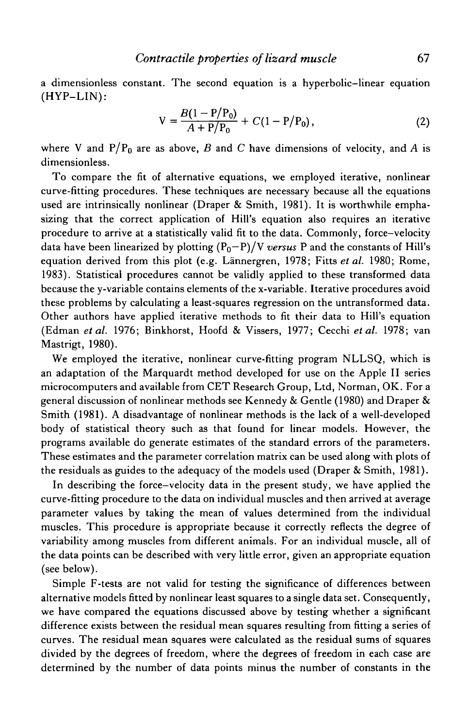a dimensionless constant. The second equation is a hyperbolic-linear equation (HYP-LIN):

$$
V = \frac{B(1 - P/P_0)}{A + P/P_0} + C(1 - P/P_0),
$$
 (2)

where V and  $P/P_0$  are as above, *B* and *C* have dimensions of velocity, and *A* is dimensionless.

To compare the fit of alternative equations, we employed iterative, nonlinear curve-fitting procedures. These techniques are necessary because all the equations used are intrinsically nonlinear (Draper & Smith, 1981). It is worthwhile emphasizing that the correct application of Hill's equation also requires an iterative procedure to arrive at a statistically valid fit to the data. Commonly, force-velocity data have been linearized by plotting  $(P_0-P)/V$  *versus* P and the constants of Hill's equation derived from this plot (e.g. Lännergren, 1978; Fitts *et al.* 1980; Rome, 1983). Statistical procedures cannot be validly applied to these transformed data because the y-variable contains elements of the x-variable. Iterative procedures avoid these problems by calculating a least-squares regression on the untransformed data. Other authors have applied iterative methods to fit their data to Hill's equation (Edman *et al.* 1976; Binkhorst, Hoofd & Vissers, 1977; Cecchi *et al.* 1978; van Mastrigt, 1980).

We employed the iterative, nonlinear curve-fitting program NLLSQ, which is an adaptation of the Marquardt method developed for use on the Apple II series microcomputers and available from CET Research Group, Ltd, Norman, OK. For a general discussion of nonlinear methods see Kennedy & Gentle (1980) and Draper & Smith (1981). A disadvantage of nonlinear methods is the lack of a well-developed body of statistical theory such as that found for linear models. However, the programs available do generate estimates of the standard errors of the parameters. These estimates and the parameter correlation matrix can be used along with plots of the residuals as guides to the adequacy of the models used (Draper & Smith, 1981).

In describing the force—velocity data in the present study, we have applied the curve-fitting procedure to the data on individual muscles and then arrived at average parameter values by taking the mean of values determined from the individual muscles. This procedure is appropriate because it correctly reflects the degree of variability among muscles from different animals. For an individual muscle, all of the data points can be described with very little error, given an appropriate equation (see below).

Simple F-tests are not valid for testing the significance of differences between alternative models fitted by nonlinear least squares to a single data set. Consequently, we have compared the equations discussed above by testing whether a significant difference exists between the residual mean squares resulting from fitting a series of curves. The residual mean squares were calculated as the residual sums of squares divided by the degrees of freedom, where the degrees of freedom in each case are determined by the number of data points minus the number of constants in the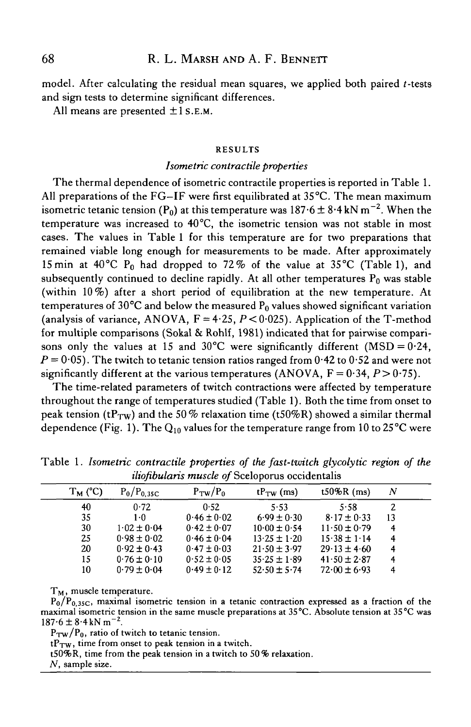model. After calculating the residual mean squares, we applied both paired  $t$ -tests and sign tests to determine significant differences.

All means are presented  $\pm 1$  S.E.M.

#### RESULTS

## *Isometric contractile properties*

The thermal dependence of isometric contractile properties is reported in Table 1. All preparations of the FG—IF were first equilibrated at 35°C. The mean maximum isometric tetanic tension (P<sub>0</sub>) at this temperature was 187 $\cdot$ 6  $\pm$  8 $\cdot$ 4 kN m $^{-2}$ . When the temperature was increased to 40°C, the isometric tension was not stable in most cases. The values in Table 1 for this temperature are for two preparations that remained viable long enough for measurements to be made. After approximately 15 min at 40°C P<sub>0</sub> had dropped to 72% of the value at 35°C (Table 1), and subsequently continued to decline rapidly. At all other temperatures  $P_0$  was stable (within 10%) after a short period of equilibration at the new temperature. At temperatures of 30 °C and below the measured  $P_0$  values showed significant variation (analysis of variance, ANOVA,  $F = 4.25$ ,  $P < 0.025$ ). Application of the T-method for multiple comparisons (Sokal & Rohlf, 1981) indicated that for pairwise comparisons only the values at 15 and 30°C were significantly different (MSD =  $0.24$ ,  $P = 0.05$ ). The twitch to tetanic tension ratios ranged from 0.42 to 0.52 and were not significantly different at the various temperatures (ANOVA,  $F = 0.34$ ,  $P > 0.75$ ).

The time-related parameters of twitch contractions were affected by temperature throughout the range of temperatures studied (Table 1). Both the time from onset to peak tension (tP<sub>TW</sub>) and the 50% relaxation time (t50%R) showed a similar thermal dependence (Fig. 1). The  $Q_{10}$  values for the temperature range from 10 to 25 °C were

| $T_M$ (°C) | $P_0/P_{0.35C}$ | $P_{TW}/P_0$    | $tP_{TW}(ms)$    | $t50\%R$ (ms)    | N  |  |
|------------|-----------------|-----------------|------------------|------------------|----|--|
| 40         | 0.72            | 0.52            | 5.53             | 5.58             | 2  |  |
| 35         | $1-0$           | $0.46 \pm 0.02$ | $6.99 \pm 0.30$  | $8.17 \pm 0.33$  | 13 |  |
| 30         | $1.02 \pm 0.04$ | $0.42 \pm 0.07$ | $10.00 \pm 0.54$ | $11.50 \pm 0.79$ | 4  |  |
| 25         | $0.98 \pm 0.02$ | $0.46 \pm 0.04$ | $13.25 \pm 1.20$ | $15.38 \pm 1.14$ | 4  |  |
| 20         | $0.92 \pm 0.43$ | $0.47 \pm 0.03$ | $21.50 \pm 3.97$ | $29.13 \pm 4.60$ | Δ  |  |
| 15         | $0.76 \pm 0.10$ | $0.52 \pm 0.05$ | $35.25 \pm 1.89$ | $41.50 \pm 2.87$ |    |  |
| 10         | $0.79 \pm 0.04$ | $0.49 \pm 0.12$ | $52.50 \pm 5.74$ | $72.00 \pm 6.93$ |    |  |
|            |                 |                 |                  |                  |    |  |

Table 1. *Isometric contractile properties of the fast-twitch glycolytic region of the iliofibularis muscle of* Sceloporus occidentalis

 $T_M$ , muscle temperature.

 $P_0/P_{0.35C}$ , maximal isometric tension in a tetanic contraction expressed as a fraction of the maximal isometric tension in the same muscle preparations at 35°C. Absolute tension at 35 °C was  $187.6 \pm 8.4 \text{ kN m}^{-2}$ .

 $P_{TW}/P_0$ , ratio of twitch to tetanic tension.

 $tP_{TW}$ , time from onset to peak tension in a twitch.

t50%R, time from the peak tension in a twitch to 50% relaxation.

*N,* sample size.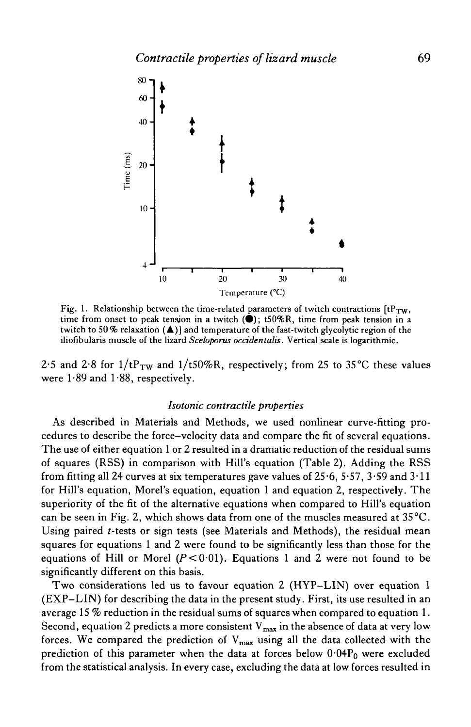

Fig. 1. Relationship between the time-related parameters of twitch contractions  $[tP_{TW},$ time from onset to peak tension in a twitch  $(•)$ ; t50%R, time from peak tension in a twitch to 50 % relaxation  $(\triangle)$  and temperature of the fast-twitch glycolytic region of the iliofibularis muscle of the lizard *Sceloporus occidentals.* Vertical scale is logarithmic.

2.5 and 2.8 for  $1/tP_{TW}$  and  $1/t50\%R$ , respectively; from 25 to 35 °C these values were 1-89 and 1-88, respectively.

## *Isotonic contractile properties*

As described in Materials and Methods, we used nonlinear curve-fitting procedures to describe the force-velocity data and compare the fit of several equations. The use of either equation 1 or 2 resulted in a dramatic reduction of the residual sums of squares (RSS) in comparison with Hill's equation (Table 2). Adding the RSS from fitting all 24 curves at six temperatures gave values of 25.6, 5.57, 3.59 and 3.11 for Hill's equation, Morel's equation, equation 1 and equation 2, respectively. The superiority of the fit of the alternative equations when compared to Hill's equation can be seen in Fig. 2, which shows data from one of the muscles measured at  $35^{\circ}$ C. Using paired *t*-tests or sign tests (see Materials and Methods), the residual mean squares for equations 1 and 2 were found to be significantly less than those for the equations of Hill or Morel  $(P < 0.01)$ . Equations 1 and 2 were not found to be significantly different on this basis.

Two considerations led us to favour equation 2 (HYP-LIN) over equation 1 (EXP—LIN) for describing the data in the present study. First, its use resulted in an average 15 % reduction in the residual sums of squares when compared to equation 1. Second, equation 2 predicts a more consistent  $V_{max}$  in the absence of data at very low forces. We compared the prediction of  $V_{\text{max}}$  using all the data collected with the prediction of this parameter when the data at forces below  $0.04P_0$  were excluded from the statistical analysis. In every case, excluding the data at low forces resulted in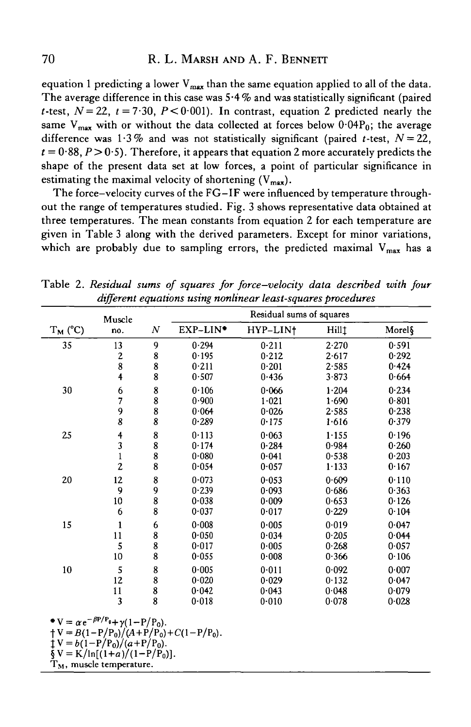equation 1 predicting a lower  $V_{\text{max}}$  than the same equation applied to all of the data. The average difference in this case was  $5.4\%$  and was statistically significant (paired *t*-test,  $N = 22$ ,  $t = 7.30$ ,  $P < 0.001$ ). In contrast, equation 2 predicted nearly the same  $V_{\text{max}}$  with or without the data collected at forces below 0.04P<sub>0</sub>; the average difference was 1.3% and was not statistically significant (paired t-test,  $N = 22$ ,  $t = 0.88, P > 0.5$ . Therefore, it appears that equation 2 more accurately predicts the shape of the present data set at low forces, a point of particular significance in estimating the maximal velocity of shortening  $(V<sub>max</sub>)$ .

The force—velocity curves of the FG—IF were influenced by temperature throughout the range of temperatures studied. Fig. 3 shows representative data obtained at three temperatures. The mean constants from equation 2 for each temperature are given in Table 3 along with the derived parameters. Except for minor variations, which are probably due to sampling errors, the predicted maximal  $V_{\text{max}}$  has a

|            | Muscle                  |                                            | Residual sums of squares |                      |                   |        |  |
|------------|-------------------------|--------------------------------------------|--------------------------|----------------------|-------------------|--------|--|
| $T_M$ (°C) | no.                     | $\cal N$                                   | EXP-LIN <sup>*</sup>     | HYP-LIN <sup>+</sup> | Hill <sub>1</sub> | Morel§ |  |
| 35         | 13                      | 9                                          | 0.294                    | 0.211                | 2.270             | 0.591  |  |
|            | $\boldsymbol{2}$        | 8                                          | 0.195                    | 0.212                | 2.617             | 0.292  |  |
|            | 8                       | $\begin{array}{c} 8 \\ 8 \end{array}$      | 0.211                    | 0.201                | 2.585             | 0.424  |  |
|            | 4                       |                                            | 0.507                    | 0.436                | 3.873             | 0.664  |  |
| 30         | 6                       | 8                                          | 0.106                    | 0.066                | 1.204             | 0.234  |  |
|            | $\overline{7}$          |                                            | 0.900                    | 1.021                | 1.690             | 0.801  |  |
|            | 9                       | $\begin{array}{c} 8 \\ 8 \\ 8 \end{array}$ | 0.064                    | 0.026                | 2.585             | 0.238  |  |
|            | 8                       |                                            | 0.289                    | 0.175                | 1.616             | 0.379  |  |
| 25         | 4                       | 8                                          | 0.113                    | 0.063                | 1.155             | 0.196  |  |
|            | 3                       |                                            | 0.174                    | 0.284                | 0.984             | 0.260  |  |
|            | $\mathbf{1}$            | $\begin{array}{c} 8 \\ 8 \\ 8 \end{array}$ | 0.080                    | 0.041                | 0.538             | 0.203  |  |
|            | $\overline{c}$          |                                            | 0.054                    | 0.057                | $1 - 133$         | 0.167  |  |
| 20         | 12                      | 8                                          | 0.073                    | 0.053                | 0.609             | 0.110  |  |
|            | 9                       |                                            | 0.239                    | 0.093                | 0.686             | 0.363  |  |
|            | 10                      | 9<br>8                                     | 0.038                    | 0.009                | 0.653             | 0.126  |  |
|            | 6                       | 8                                          | 0.037                    | 0.017                | 0.229             | 0.104  |  |
| 15         | $\mathbf{1}$            | 6                                          | 0.008                    | 0.005                | 0.019             | 0.047  |  |
|            | 11                      | $\begin{array}{c} 8 \\ 8 \end{array}$      | 0.050                    | 0.034                | 0.205             | 0.044  |  |
|            | 5                       |                                            | 0.017                    | 0.005                | 0.268             | 0.057  |  |
|            | 10                      | 8                                          | 0.055                    | 0.008                | 0.366             | 0.106  |  |
| 10         | 5                       | $\begin{array}{c} 8 \\ 8 \end{array}$      | 0.005                    | 0.011                | 0.092             | 0.007  |  |
|            | 12                      |                                            | 0.020                    | 0.029                | 0.132             | 0.047  |  |
|            | 11                      | $\begin{array}{c} 8 \\ 8 \end{array}$      | 0.042                    | 0.043                | 0.048             | 0.079  |  |
|            | $\overline{\mathbf{3}}$ |                                            | 0.018                    | 0.010                | 0.078             | 0.028  |  |

Table 2. *Residual sums of squares for force-velocity data described with four different equations using nonlinear least-squares procedures*

$$
T V = B(1 - P/P_0)/(A + P/P_0) + C(1 - P/P_0)
$$

 $\begin{aligned} \frac{1}{2} \text{V} &= b(1-\text{P/P}_0)/(a+\text{P/P}_0).\\ \frac{5}{2} \text{V} &= \text{K}/\ln[(1+a)/(1-\text{P/P}_0)]. \end{aligned}$ 

 $T_M$ , muscle temperature.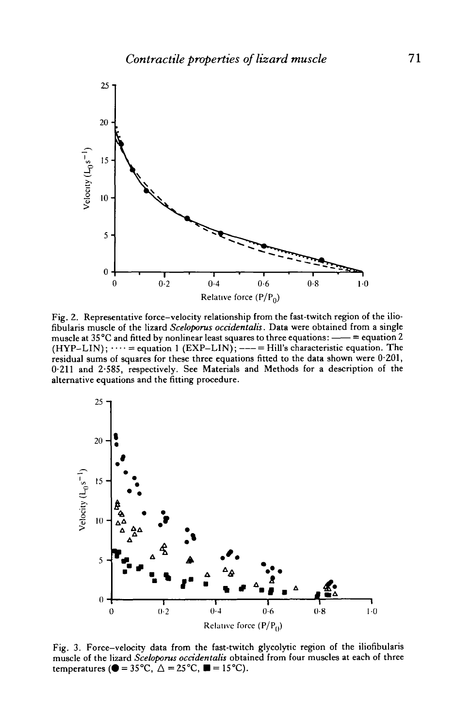

Fig. 2. Representative force-velocity relationship from the fast-twitch region of the ilio- fibularis muscle of the lizard *Sceloporus ocddentalis.* Data were obtained from a single muscle at 35 $^{\circ}$ C and fitted by nonlinear least squares to three equations:  $\_\_$  = equation 2 (HYP-LIN);  $\cdots$  = equation 1 (EXP-LIN); ---= Hill's characteristic equation. The residual sums of squares for these three equations fitted to the data shown were 0-201, 0-211 and 2-585, respectively. See Materials and Methods for a description of the alternative equations and the fitting procedure.



Fig. 3. Force-velocity data from the fast-twitch glycolytic region of the iliofibularis muscle of the lizard *Sceloporus ocddentalis* obtained from four muscles at each of three temperatures ( $\bullet$  = 35°C,  $\Delta$  = 25°C,  $\blacksquare$  = 15°C).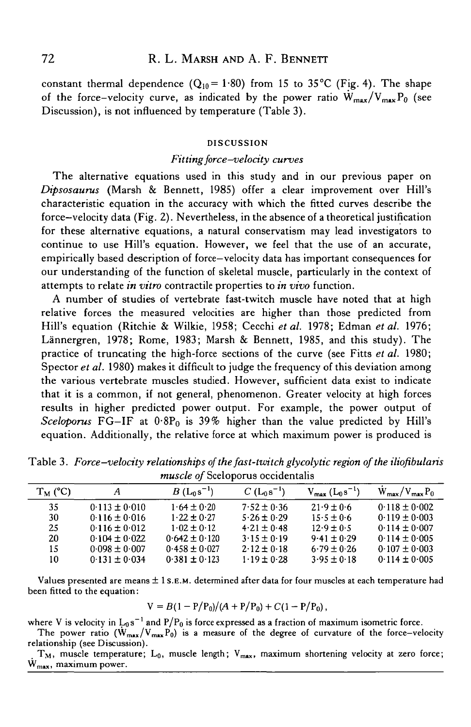constant thermal dependence  $(Q_{10} = 1.80)$  from 15 to 35 °C (Fig. 4). The shape of the force-velocity curve, as indicated by the power ratio  $\dot{W}_{max}/V_{max}P_0$  (see Discussion), is not influenced by temperature (Table 3).

#### DISCUSSION

## *Fitting force-velocity curves*

The alternative equations used in this study and in our previous paper on *Dipsosaurus* (Marsh & Bennett, 1985) offer a clear improvement over Hill's characteristic equation in the accuracy with which the fitted curves describe the force-velocity data (Fig. 2). Nevertheless, in the absence of a theoretical justification for these alternative equations, a natural conservatism may lead investigators to continue to use Hill's equation. However, we feel that the use of an accurate, empirically based description of force-velocity data has important consequences for our understanding of the function of skeletal muscle, particularly in the context of attempts to relate *in vitro* contractile properties to *in vivo* function.

A number of studies of vertebrate fast-twitch muscle have noted that at high relative forces the measured velocities are higher than those predicted from Hill's equation (Ritchie & Wilkie, 1958; Cecchi *et al.* 1978; Edman *et al.* 1976; Lännergren, 1978; Rome, 1983; Marsh & Bennett, 1985, and this study). The practice of truncating the high-force sections of the curve (see Fitts *et al.* 1980; Spector *et al.* 1980) makes it difficult to judge the frequency of this deviation among the various vertebrate muscles studied. However, sufficient data exist to indicate that it is a common, if not general, phenomenon. Greater velocity at high forces results in higher predicted power output. For example, the power output of *Sceloporus* FG-IF at  $0.8P_0$  is 39% higher than the value predicted by Hill's equation. Additionally, the relative force at which maximum power is produced is

| $T_M$ (°C) | A                 | $B(L_0s^{-1})$    | $C(L_0s^{-1})$  | $\rm V_{max}\ (L_0\,s^{-1})$ | $W_{\text{max}}/$<br>$V_{\text{max}}P_0$ |  |  |
|------------|-------------------|-------------------|-----------------|------------------------------|------------------------------------------|--|--|
| 35         | $0.113 \pm 0.010$ | $1.64 \pm 0.20$   | $7.52 \pm 0.36$ | $21.9 \pm 0.6$               | $0.118 \pm 0.002$                        |  |  |
| 30         | $0.116 \pm 0.016$ | $1.22 \pm 0.27$   | $5.26 \pm 0.29$ | $15.5 \pm 0.6$               | $0.119 \pm 0.003$                        |  |  |
| 25         | $0.116 \pm 0.012$ | $1.02 \pm 0.12$   | $4.21 \pm 0.48$ | $12.9 \pm 0.5$               | $0.114 \pm 0.007$                        |  |  |
| 20         | $0.104 \pm 0.022$ | $0.642 \pm 0.120$ | $3.15 \pm 0.19$ | $9.41 \pm 0.29$              | $0.114 \pm 0.005$                        |  |  |
| 15         | $0.098 \pm 0.007$ | $0.458 \pm 0.027$ | $2.12 \pm 0.18$ | $6.79 \pm 0.26$              | $0.107 \pm 0.003$                        |  |  |
| 10         | $0.131 \pm 0.034$ | $0.381 \pm 0.123$ | $1.19 \pm 0.28$ | $3.95 \pm 0.18$              | $0.114 \pm 0.005$                        |  |  |

Table 3. *Force-velocity relationships of the fast-twitch glycolytic region of the iliofibularis muscle of* Sceloporus occidentalis

Values presented are means  $\pm$  1 S.E.M. determined after data for four muscles at each temperature had been fitted to the equation:

$$
V = B(1 - P/P_0)/(A + P/P_0) + C(1 - P/P_0),
$$

where V is velocity in  $L_0 s^{-1}$  and P/P<sub>0</sub> is force expressed as a fraction of maximum isometric force.

The power ratio  $(\dot{W}_{max}/V_{max}P_0)$  is a measure of the degree of curvature of the force-velocity relationship (see Discussion).

 $T_M$ , muscle temperature; L<sub>0</sub>, muscle length; V<sub>max</sub>, maximum shortening velocity at zero force; W<sub>max</sub>, maximum power.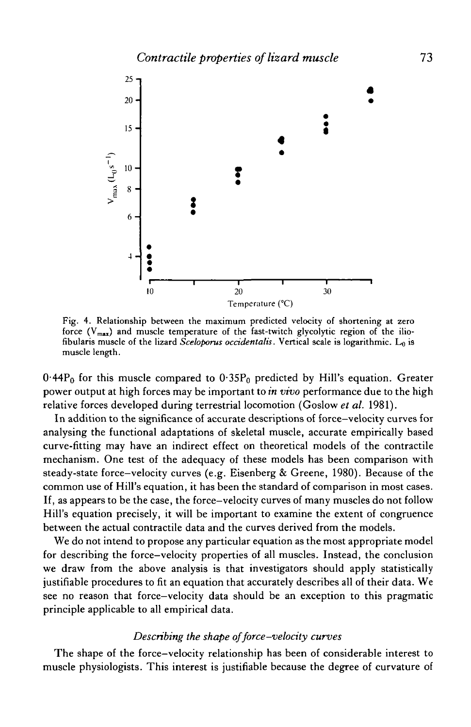

Fig. 4. Relationship between the maximum predicted velocity of shortening at zero force  $(V_{\text{max}})$  and muscle temperature of the fast-twitch glycolytic region of the iliofibularis muscle of the lizard *Sceloporus occidentalis.* Vertical scale is logarithmic. Lo is muscle length.

 $0.44P_0$  for this muscle compared to  $0.35P_0$  predicted by Hill's equation. Greater power output at high forces may be important to *in vivo* performance due to the high relative forces developed during terrestrial locomotion (Goslow *et al.* 1981).

In addition to the significance of accurate descriptions of force-velocity curves for analysing the functional adaptations of skeletal muscle, accurate empirically based curve-fitting may have an indirect effect on theoretical models of the contractile mechanism. One test of the adequacy of these models has been comparison with steady-state force—velocity curves (e.g. Eisenberg & Greene, 1980). Because of the common use of Hill's equation, it has been the standard of comparison in most cases. If, as appears to be the case, the force-velocity curves of many muscles do not follow Hill's equation precisely, it will be important to examine the extent of congruence between the actual contractile data and the curves derived from the models.

We do not intend to propose any particular equation as the most appropriate model for describing the force-velocity properties of all muscles. Instead, the conclusion we draw from the above analysis is that investigators should apply statistically justifiable procedures to fit an equation that accurately describes all of their data. We see no reason that force-velocity data should be an exception to this pragmatic principle applicable to all empirical data.

## *Describing the shape of force-velocity curves*

The shape of the force-velocity relationship has been of considerable interest to muscle physiologists. This interest is justifiable because the degree of curvature of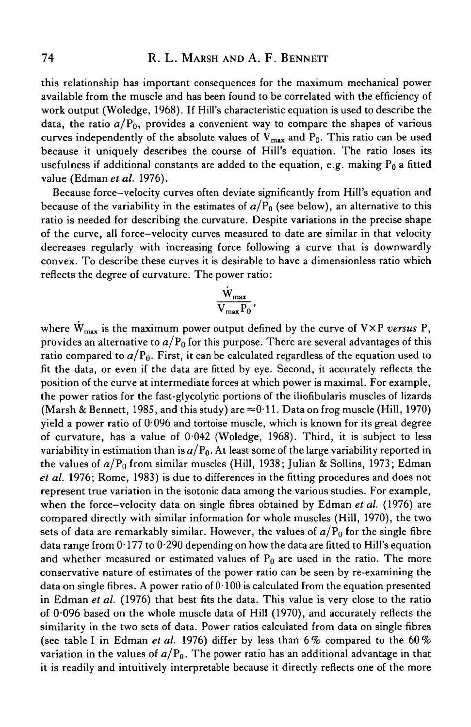this relationship has important consequences for the maximum mechanical power available from the muscle and has been found to be correlated with the efficiency of work output (Woledge, 1968). If Hill's characteristic equation is used to describe the data, the ratio  $a/P_0$ , provides a convenient way to compare the shapes of various curves independently of the absolute values of  $V_{max}$  and  $P_0$ . This ratio can be used because it uniquely describes the course of Hill's equation. The ratio loses its usefulness if additional constants are added to the equation, e.g. making  $P_0$  a fitted value (Edman *et al.* 1976).

Because force-velocity curves often deviate significantly from Hill's equation and because of the variability in the estimates of  $a/P_0$  (see below), an alternative to this ratio is needed for describing the curvature. Despite variations in the precise shape of the curve, all force-velocity curves measured to date are similar in that velocity decreases regularly with increasing force following a curve that is downwardly convex. To describe these curves it is desirable to have a dimensionless ratio which reflects the degree of curvature. The power ratio:

$$
\frac{W_{\text{max}}}{V_{\text{max}}P_0},
$$

where  $\dot{W}_{\text{max}}$  is the maximum power output defined by the curve of  $V\times P$  versus P, provides an alternative to  $a/P_0$  for this purpose. There are several advantages of this ratio compared to  $a/P_0$ . First, it can be calculated regardless of the equation used to fit the data, or even if the data are fitted by eye. Second, it accurately reflects the position of the curve at intermediate forces at which power is maximal. For example, the power ratios for the fast-glycolytic portions of the iliofibularis muscles of lizards (Marsh & Bennett, 1985, and this study) are  $\approx 0.11$ . Data on frog muscle (Hill, 1970) yield a power ratio of  $0.096$  and tortoise muscle, which is known for its great degree of curvature, has a value of 0-042 (Woledge, 1968). Third, it is subject to less variability in estimation than is  $a/P_0$ . At least some of the large variability reported in the values of *a/V0* from similar muscles (Hill, 1938; Julian & Sollins, 1973; Edman *et al.* 1976; Rome, 1983) is due to differences in the fitting procedures and does not represent true variation in the isotonic data among the various studies. For example, when the force—velocity data on single fibres obtained by Edman *et al.* (1976) are compared directly with similar information for whole muscles (Hill, 1970), the two sets of data are remarkably similar. However, the values of  $a/P<sub>0</sub>$  for the single fibre data range from  $0.177$  to  $0.290$  depending on how the data are fitted to Hill's equation and whether measured or estimated values of  $P_0$  are used in the ratio. The more conservative nature of estimates of the power ratio can be seen by re-examining the data on single fibres. A power ratio of  $0.100$  is calculated from the equation presented in Edman *et al.* (1976) that best fits the data. This value is very close to the ratio of 0-096 based on the whole muscle data of Hill (1970), and accurately reflects the similarity in the two sets of data. Power ratios calculated from data on single fibres (see table I in Edman *et al.* 1976) differ by less than 6% compared to the 60% variation in the values of  $a/P_0$ . The power ratio has an additional advantage in that it is readily and intuitively interpretable because it directly reflects one of the more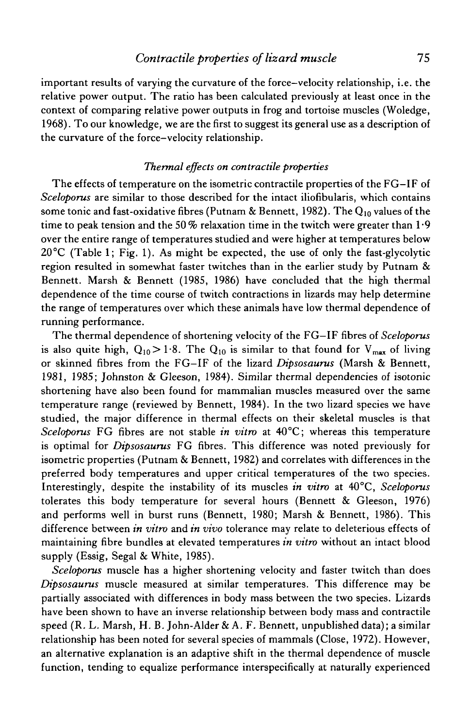important results of varying the curvature of the force—velocity relationship, i.e. the relative power output. The ratio has been calculated previously at least once in the context of comparing relative power outputs in frog and tortoise muscles (Woledge, 1968). To our knowledge, we are the first to suggest its general use as a description of the curvature of the force-velocity relationship.

## *Thermal effects on contractile properties*

The effects of temperature on the isometric contractile properties of the FG—IF of *Sceloporus* are similar to those described for the intact iliofibularis, which contains some tonic and fast-oxidative fibres (Putnam & Bennett, 1982). The  $Q_{10}$  values of the time to peak tension and the 50 *%* relaxation time in the twitch were greater than 1\*9 over the entire range of temperatures studied and were higher at temperatures below  $20^{\circ}$ C (Table 1; Fig. 1). As might be expected, the use of only the fast-glycolytic region resulted in somewhat faster twitches than in the earlier study by Putnam & Bennett. Marsh & Bennett (1985, 1986) have concluded that the high thermal dependence of the time course of twitch contractions in lizards may help determine the range of temperatures over which these animals have low thermal dependence of running performance.

The thermal dependence of shortening velocity of the FG—IF fibres of *Sceloporus* is also quite high,  $Q_{10} > 1.8$ . The  $Q_{10}$  is similar to that found for  $V_{\text{max}}$  of living or skinned fibres from the FG-IF of the lizard *Dipsosaurus* (Marsh & Bennett, 1981, 1985; Johnston & Gleeson, 1984). Similar thermal dependencies of isotonic shortening have also been found for mammalian muscles measured over the same temperature range (reviewed by Bennett, 1984). In the two lizard species we have studied, the major difference in thermal effects on their skeletal muscles is that *Sceloporus* FG fibres are not stable *in vitro* at 40 °C; whereas this temperature is optimal for *Dipsosaurus* FG fibres. This difference was noted previously for isometric properties (Putnam & Bennett, 1982) and correlates with differences in the preferred body temperatures and upper critical temperatures of the two species. Interestingly, despite the instability of its muscles *in vitro* at 40°C, *Sceloporus* tolerates this body temperature for several hours (Bennett & Gleeson, 1976) and performs well in burst runs (Bennett, 1980; Marsh & Bennett, 1986). This difference between *in vitro* and *in vivo* tolerance may relate to deleterious effects of maintaining fibre bundles at elevated temperatures *in vitro* without an intact blood supply (Essig, Segal & White, 1985).

*Sceloporus* muscle has a higher shortening velocity and faster twitch than does *Dipsosaurus* muscle measured at similar temperatures. This difference may be partially associated with differences in body mass between the two species. Lizards have been shown to have an inverse relationship between body mass and contractile speed  $(R, L, \text{Marsh}, H, B, \text{John-Alder} \& A, F. \text{ Bennett},$  unpublished data); a similar relationship has been noted for several species of mammals (Close, 1972). However, an alternative explanation is an adaptive shift in the thermal dependence of muscle function, tending to equalize performance interspecifically at naturally experienced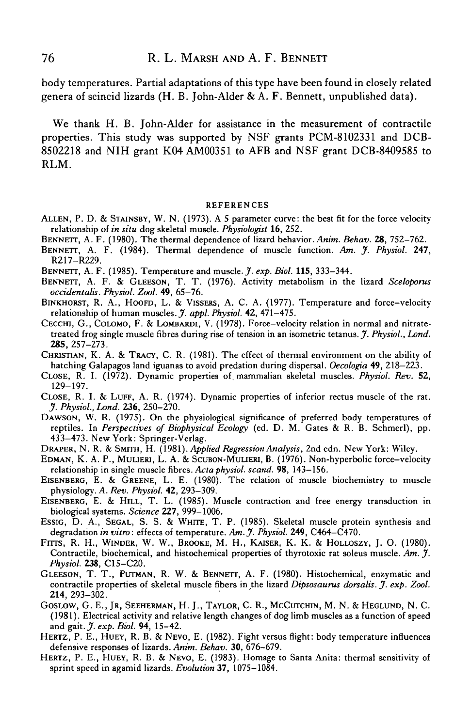body temperatures. Partial adaptations of this type have been found in closely related genera of scincid lizards (H. B. John-Alder & A. F. Bennett, unpublished data).

We thank H. B. John-Alder for assistance in the measurement of contractile properties. This study was supported by NSF grants PCM-8102331 and DCB-8502218 and NIH grant K04 AM00351 to AFB and NSF grant DCB-8409585 to RLM.

#### REFERENCES

- ALLEN, P. D. & STAINSBY, W. N. (1973). A 5 parameter curve: the best fit for the force velocity relationship of *in situ* dog skeletal muscle. *Physiologist* **16,** 252.
- BENNETT, A. F. (1980). The thermal dependence of lizard behavior. *Anim. Behav.* **28,** 752-762.
- BENNETT, A. F. (1984). Thermal dependence of muscle function. *Am. J. Physiol.* **247,** R217-R229.
- BENNETT, A. F. (1985). Temperature and muscle. J. *exp. Biol.* **115,** 333-344.
- BENNETT, A. F. & GLEESON, T. T. (1976). Activity metabolism in the lizard *Sceloporus occidentalis. Physiol. Zool.* **49,** 65-76.
- BINKHORST, R. A., HOOFD, L. & VISSERS, A. C. A. (1977). Temperature and force-velocity relationship of human muscles. *J. appl. Physiol.* **42,** 471-475.
- CECCHI, G., COLOMO, F. & LOMBARDI, V. (1978). Force-velocity relation in normal and nitratetreated frog single muscle fibres during rise of tension in an isometric tetanus. *J. Physiol., Land.* **285,** 257-273.
- CHRISTIAN, K. A. & TRACY, C. R. (1981). The effect of thermal environment on the ability of hatching Galapagos land iguanas to avoid predation during dispersal. *Oecologia* **49,** 218-223.
- CLOSE, R. I. (1972). Dynamic properties of mammalian skeletal muscles. *Physiol. Rev.* **52,** 129-197.
- CLOSE, R. I. & LUFF, A. R. (1974). Dynamic properties of inferior rectus muscle of the rat. *J. Physiol., Lond.* **236,** 250-270.
- DAWSON, W. R. (1975). On the physiological significance of preferred body temperatures of reptiles. In *Perspectives of Biophysical Ecology* (ed. D. M. Gates & R. B. Schmerl), pp. 433-473. New York: Springer-Verlag.
- DRAPER, N. R. & SMITH, H. (1981). *Applied Regression Analysis*, 2nd edn. New York: Wiley.
- EDMAN, K. A. P., MUUERI, L. A. & SCUBON-MUUERI, B. (1976). Non-hyperbolic force-velocity relationship in single muscle fibres. *Acta physiol. scand.* **98,** 143-156.
- EISENBERG, E. & GREENE, L. E. (1980). The relation of muscle biochemistry to muscle physiology. A. *Rev. Physiol.* **42,** 293-309.
- EISENBERG, E. & HILL, T. L. (1985). Muscle contraction and free energy transduction in biological systems. *Science* **227,** 999-1006.
- EssiG, D. A., SEGAL, S. S. & WHITE, T. P. (1985). Skeletal muscle protein synthesis and degradation *in vitro:* effects of temperature. *Ant.J. Physiol.* **249,** C464—C470.
- Frrrs, R. H., WINDER, W. W., BROOKE, M. H., KAISER, K. K. & HOLLOSZY, J. O. (1980). Contractile, biochemical, and histochemical properties of thyrotoxic rat soleus muscle. *Am. J. Physiol.* **238,** C15-C20.
- GLEESON, T. T., PUTMAN, R. W. & BENNETT, A. F. (1980). Histochemical, enzymatic and contractile properties of skeletal muscle fibers in the lizard *Dipsosaurus dorsalis. J. exp. Zool.* **214,** 293-302.
- GOSLOW, G. E., JR, SEEHERMAN, H. J., TAYLOR, C. R., MCCUTCHTN, M. N. & HEGLUND, N. C. (1981). Electrical activity and relative length changes of dog limb muscles as a function of speed and gait. J. *exp. Biol.* **94,** 15-42.
- HERTZ, P. E., HUEY, R. B. & NEVO, E. (1982). Fight versus flight: body temperature influences defensive responses of lizards. *Anim. Behav.* 30, 676-679.
- HERTZ, P. E., HUEY, R. B. & NEVO, E. (1983). Homage to Santa Anita: thermal sensitivity of sprint speed in agamid lizards. *Evolution* **37,** 1075-1084.